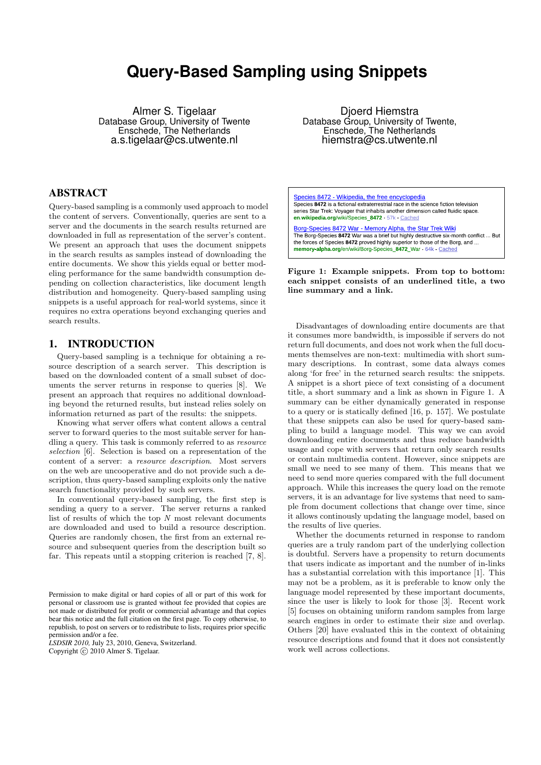# **Query-Based Sampling using Snippets**

Almer S. Tigelaar Database Group, University of Twente Enschede, The Netherlands a.s.tigelaar@cs.utwente.nl

# ABSTRACT

Query-based sampling is a commonly used approach to model the content of servers. Conventionally, queries are sent to a server and the documents in the search results returned are downloaded in full as representation of the server's content. We present an approach that uses the document snippets in the search results as samples instead of downloading the entire documents. We show this yields equal or better modeling performance for the same bandwidth consumption depending on collection characteristics, like document length distribution and homogeneity. Query-based sampling using snippets is a useful approach for real-world systems, since it requires no extra operations beyond exchanging queries and search results.

### 1. INTRODUCTION

Query-based sampling is a technique for obtaining a resource description of a search server. This description is based on the downloaded content of a small subset of documents the server returns in response to queries [\[8\]](#page-5-0). We present an approach that requires no additional downloading beyond the returned results, but instead relies solely on information returned as part of the results: the snippets.

Knowing what server offers what content allows a central server to forward queries to the most suitable server for handling a query. This task is commonly referred to as resource selection [\[6\]](#page-5-1). Selection is based on a representation of the content of a server: a resource description. Most servers on the web are uncooperative and do not provide such a description, thus query-based sampling exploits only the native search functionality provided by such servers.

In conventional query-based sampling, the first step is sending a query to a server. The server returns a ranked list of results of which the top  $N$  most relevant documents are downloaded and used to build a resource description. Queries are randomly chosen, the first from an external resource and subsequent queries from the description built so far. This repeats until a stopping criterion is reached [\[7,](#page-5-2) [8\]](#page-5-0).

*LSDSIR 2010,* July 23, 2010, Geneva, Switzerland. Copyright  $\odot$  2010 Almer S. Tigelaar.

Djoerd Hiemstra Database Group, University of Twente, Enschede, The Netherlands hiemstra@cs.utwente.nl

Species 8472 - Wikipedia, the free encyclopedia Species 8472 is a fictional extraterrestrial race in the science fiction television series Star Trek: Voyager that inhabits another dimension called fluidic space. en wikipedia.org/wiki/Species 8472 57k Cached

Borg-Species 8472 War - Memory Alpha, the Star Trek Wiki The Borg-Species 8472 War was a brief but highly destructive six-month conflict ... But the forces of Species 8472 proved highly superior to those of the Borg, and ... memory alpha.org/en/wiki/Borg-Species\_8472\_War 64k Cached

<span id="page-0-0"></span>Figure 1: Example snippets. From top to bottom: each snippet consists of an underlined title, a two line summary and a link.

Disadvantages of downloading entire documents are that it consumes more bandwidth, is impossible if servers do not return full documents, and does not work when the full documents themselves are non-text: multimedia with short summary descriptions. In contrast, some data always comes along 'for free' in the returned search results: the snippets. A snippet is a short piece of text consisting of a document title, a short summary and a link as shown in Figure [1.](#page-0-0) A summary can be either dynamically generated in response to a query or is statically defined [\[16,](#page-5-3) p. 157]. We postulate that these snippets can also be used for query-based sampling to build a language model. This way we can avoid downloading entire documents and thus reduce bandwidth usage and cope with servers that return only search results or contain multimedia content. However, since snippets are small we need to see many of them. This means that we need to send more queries compared with the full document approach. While this increases the query load on the remote servers, it is an advantage for live systems that need to sample from document collections that change over time, since it allows continously updating the language model, based on the results of live queries.

Whether the documents returned in response to random queries are a truly random part of the underlying collection is doubtful. Servers have a propensity to return documents that users indicate as important and the number of in-links has a substantial correlation with this importance [\[1\]](#page-5-4). This may not be a problem, as it is preferable to know only the language model represented by these important documents, since the user is likely to look for those [\[3\]](#page-5-5). Recent work [\[5\]](#page-5-6) focuses on obtaining uniform random samples from large search engines in order to estimate their size and overlap. Others [\[20\]](#page-5-7) have evaluated this in the context of obtaining resource descriptions and found that it does not consistently work well across collections.

Permission to make digital or hard copies of all or part of this work for personal or classroom use is granted without fee provided that copies are not made or distributed for profit or commercial advantage and that copies bear this notice and the full citation on the first page. To copy otherwise, to republish, to post on servers or to redistribute to lists, requires prior specific permission and/or a fee.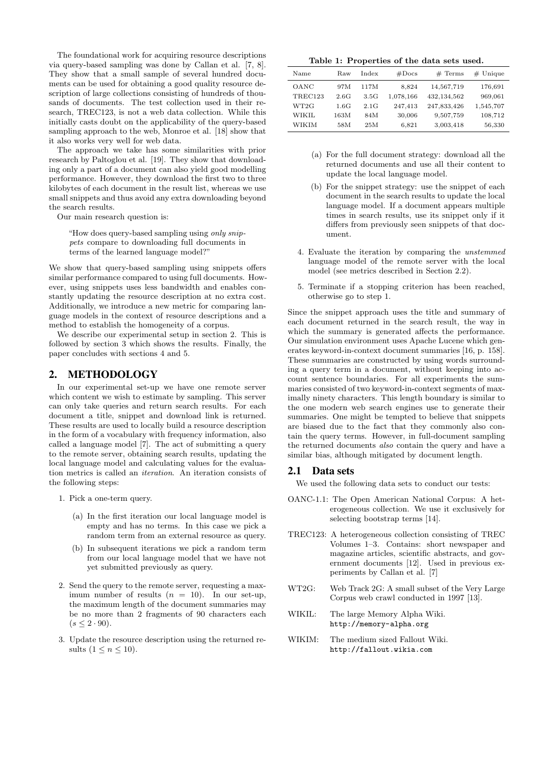The foundational work for acquiring resource descriptions via query-based sampling was done by Callan et al. [\[7,](#page-5-2) [8\]](#page-5-0). They show that a small sample of several hundred documents can be used for obtaining a good quality resource description of large collections consisting of hundreds of thousands of documents. The test collection used in their research, TREC123, is not a web data collection. While this initially casts doubt on the applicability of the query-based sampling approach to the web, Monroe et al. [\[18\]](#page-5-8) show that it also works very well for web data.

The approach we take has some similarities with prior research by Paltoglou et al. [\[19\]](#page-5-9). They show that downloading only a part of a document can also yield good modelling performance. However, they download the first two to three kilobytes of each document in the result list, whereas we use small snippets and thus avoid any extra downloading beyond the search results.

Our main research question is:

"How does query-based sampling using only snippets compare to downloading full documents in terms of the learned language model?"

We show that query-based sampling using snippets offers similar performance compared to using full documents. However, using snippets uses less bandwidth and enables constantly updating the resource description at no extra cost. Additionally, we introduce a new metric for comparing language models in the context of resource descriptions and a method to establish the homogeneity of a corpus.

We describe our experimental setup in section [2.](#page-1-0) This is followed by section [3](#page-2-0) which shows the results. Finally, the paper concludes with sections [4](#page-4-0) and [5.](#page-5-10)

# <span id="page-1-0"></span>2. METHODOLOGY

In our experimental set-up we have one remote server which content we wish to estimate by sampling. This server can only take queries and return search results. For each document a title, snippet and download link is returned. These results are used to locally build a resource description in the form of a vocabulary with frequency information, also called a language model [\[7\]](#page-5-2). The act of submitting a query to the remote server, obtaining search results, updating the local language model and calculating values for the evaluation metrics is called an iteration. An iteration consists of the following steps:

- 1. Pick a one-term query.
	- (a) In the first iteration our local language model is empty and has no terms. In this case we pick a random term from an external resource as query.
	- (b) In subsequent iterations we pick a random term from our local language model that we have not yet submitted previously as query.
- 2. Send the query to the remote server, requesting a maximum number of results  $(n = 10)$ . In our set-up, the maximum length of the document summaries may be no more than 2 fragments of 90 characters each  $(s < 2.90)$ .
- 3. Update the resource description using the returned results  $(1 \leq n \leq 10)$ .

<span id="page-1-1"></span>Table 1: Properties of the data sets used.

| Name           | Raw  | Index | #Docs     | $#$ Terms     | $#$ Unique |
|----------------|------|-------|-----------|---------------|------------|
| OANC           | 97M  | 117M  | 8.824     | 14,567,719    | 176,691    |
| <b>TREC123</b> | 2.6G | 3.5G  | 1,078,166 | 432, 134, 562 | 969,061    |
| WT2G           | 1.6G | 2.1G  | 247.413   | 247,833,426   | 1,545,707  |
| WIKIL          | 163M | 84M   | 30,006    | 9,507,759     | 108,712    |
| WIKIM          | 58M  | 25M   | 6,821     | 3,003,418     | 56,330     |

- (a) For the full document strategy: download all the returned documents and use all their content to update the local language model.
- (b) For the snippet strategy: use the snippet of each document in the search results to update the local language model. If a document appears multiple times in search results, use its snippet only if it differs from previously seen snippets of that document.
- 4. Evaluate the iteration by comparing the unstemmed language model of the remote server with the local model (see metrics described in Section [2.2\)](#page-2-1).
- 5. Terminate if a stopping criterion has been reached, otherwise go to step 1.

Since the snippet approach uses the title and summary of each document returned in the search result, the way in which the summary is generated affects the performance. Our simulation environment uses Apache Lucene which generates keyword-in-context document summaries [\[16,](#page-5-3) p. 158]. These summaries are constructed by using words surrounding a query term in a document, without keeping into account sentence boundaries. For all experiments the summaries consisted of two keyword-in-context segments of maximally ninety characters. This length boundary is similar to the one modern web search engines use to generate their summaries. One might be tempted to believe that snippets are biased due to the fact that they commonly also contain the query terms. However, in full-document sampling the returned documents also contain the query and have a similar bias, although mitigated by document length.

#### 2.1 Data sets

We used the following data sets to conduct our tests:

- OANC-1.1: The Open American National Corpus: A heterogeneous collection. We use it exclusively for selecting bootstrap terms [\[14\]](#page-5-11).
- TREC123: A heterogeneous collection consisting of TREC Volumes 1–3. Contains: short newspaper and magazine articles, scientific abstracts, and government documents [\[12\]](#page-5-12). Used in previous experiments by Callan et al. [\[7\]](#page-5-2)
- WT2G: Web Track 2G: A small subset of the Very Large Corpus web crawl conducted in 1997 [\[13\]](#page-5-13).
- WIKIL: The large Memory Alpha Wiki. <http://memory-alpha.org>
- WIKIM: The medium sized Fallout Wiki. <http://fallout.wikia.com>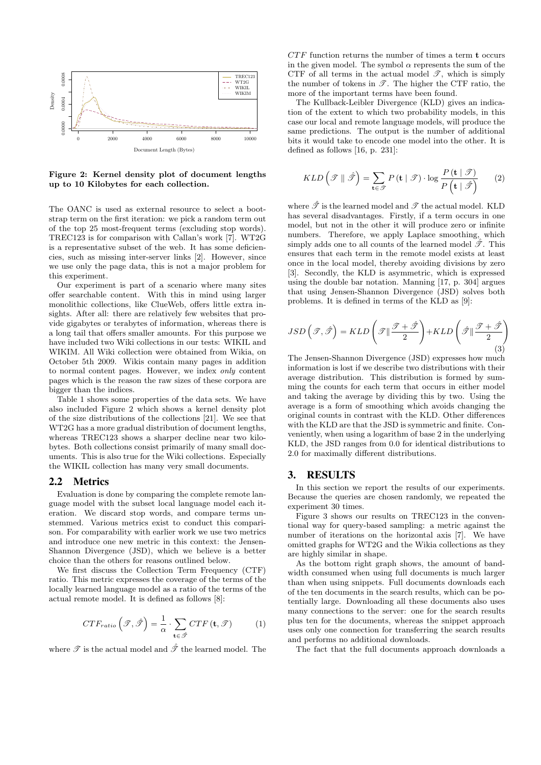

<span id="page-2-2"></span>Figure 2: Kernel density plot of document lengths up to 10 Kilobytes for each collection.

The OANC is used as external resource to select a bootstrap term on the first iteration: we pick a random term out of the top 25 most-frequent terms (excluding stop words). TREC123 is for comparison with Callan's work [\[7\]](#page-5-2). WT2G is a representative subset of the web. It has some deficiencies, such as missing inter-server links [\[2\]](#page-5-14). However, since we use only the page data, this is not a major problem for this experiment.

Our experiment is part of a scenario where many sites offer searchable content. With this in mind using larger monolithic collections, like ClueWeb, offers little extra insights. After all: there are relatively few websites that provide gigabytes or terabytes of information, whereas there is a long tail that offers smaller amounts. For this purpose we have included two Wiki collections in our tests: WIKIL and WIKIM. All Wiki collection were obtained from Wikia, on October 5th 2009. Wikis contain many pages in addition to normal content pages. However, we index only content pages which is the reason the raw sizes of these corpora are bigger than the indices.

Table [1](#page-1-1) shows some properties of the data sets. We have also included Figure [2](#page-2-2) which shows a kernel density plot of the size distributions of the collections [\[21\]](#page-5-15). We see that WT2G has a more gradual distribution of document lengths, whereas TREC123 shows a sharper decline near two kilobytes. Both collections consist primarily of many small documents. This is also true for the Wiki collections. Especially the WIKIL collection has many very small documents.

#### <span id="page-2-1"></span>2.2 Metrics

Evaluation is done by comparing the complete remote language model with the subset local language model each iteration. We discard stop words, and compare terms unstemmed. Various metrics exist to conduct this comparison. For comparability with earlier work we use two metrics and introduce one new metric in this context: the Jensen-Shannon Divergence (JSD), which we believe is a better choice than the others for reasons outlined below.

We first discuss the Collection Term Frequency (CTF) ratio. This metric expresses the coverage of the terms of the locally learned language model as a ratio of the terms of the actual remote model. It is defined as follows [\[8\]](#page-5-0):

$$
CTF_{ratio}\left(\mathcal{T},\hat{\mathcal{T}}\right) = \frac{1}{\alpha} \cdot \sum_{\mathbf{t} \in \hat{\mathcal{T}}} CTF\left(\mathbf{t},\mathcal{T}\right) \tag{1}
$$

where  $\mathscr T$  is the actual model and  $\hat{\mathscr T}$  the learned model. The

 $CTF$  function returns the number of times a term  $t$  occurs in the given model. The symbol  $\alpha$  represents the sum of the CTF of all terms in the actual model  $\mathscr{T}$ , which is simply the number of tokens in  $\mathscr{T}$ . The higher the CTF ratio, the more of the important terms have been found.

The Kullback-Leibler Divergence (KLD) gives an indication of the extent to which two probability models, in this case our local and remote language models, will produce the same predictions. The output is the number of additional bits it would take to encode one model into the other. It is defined as follows [\[16,](#page-5-3) p. 231]:

$$
KLD\left(\mathcal{T} \parallel \hat{\mathcal{T}}\right) = \sum_{\mathbf{t} \in \mathcal{T}} P\left(\mathbf{t} \mid \mathcal{T}\right) \cdot \log \frac{P\left(\mathbf{t} \mid \mathcal{T}\right)}{P\left(\mathbf{t} \mid \hat{\mathcal{T}}\right)}\tag{2}
$$

where  $\hat{\mathcal{T}}$  is the learned model and  $\mathcal{T}$  the actual model. KLD has several disadvantages. Firstly, if a term occurs in one model, but not in the other it will produce zero or infinite numbers. Therefore, we apply Laplace smoothing, which simply adds one to all counts of the learned model  $\hat{\mathcal{T}}$ . This ensures that each term in the remote model exists at least once in the local model, thereby avoiding divisions by zero [\[3\]](#page-5-5). Secondly, the KLD is asymmetric, which is expressed using the double bar notation. Manning [\[17,](#page-5-16) p. 304] argues that using Jensen-Shannon Divergence (JSD) solves both problems. It is defined in terms of the KLD as [\[9\]](#page-5-17):

$$
JSD\left(\mathcal{T}, \hat{\mathcal{T}}\right) = KLD\left(\mathcal{T} \|\frac{\mathcal{T} + \hat{\mathcal{T}}}{2}\right) + KLD\left(\hat{\mathcal{T}} \|\frac{\mathcal{T} + \hat{\mathcal{T}}}{2}\right)
$$
\n(3)

The Jensen-Shannon Divergence (JSD) expresses how much information is lost if we describe two distributions with their average distribution. This distribution is formed by summing the counts for each term that occurs in either model and taking the average by dividing this by two. Using the average is a form of smoothing which avoids changing the original counts in contrast with the KLD. Other differences with the KLD are that the JSD is symmetric and finite. Conveniently, when using a logarithm of base 2 in the underlying KLD, the JSD ranges from 0.0 for identical distributions to 2.0 for maximally different distributions.

## <span id="page-2-0"></span>3. RESULTS

In this section we report the results of our experiments. Because the queries are chosen randomly, we repeated the experiment 30 times.

Figure [3](#page-3-0) shows our results on TREC123 in the conventional way for query-based sampling: a metric against the number of iterations on the horizontal axis [\[7\]](#page-5-2). We have omitted graphs for WT2G and the Wikia collections as they are highly similar in shape.

As the bottom right graph shows, the amount of bandwidth consumed when using full documents is much larger than when using snippets. Full documents downloads each of the ten documents in the search results, which can be potentially large. Downloading all these documents also uses many connections to the server: one for the search results plus ten for the documents, whereas the snippet approach uses only one connection for transferring the search results and performs no additional downloads.

The fact that the full documents approach downloads a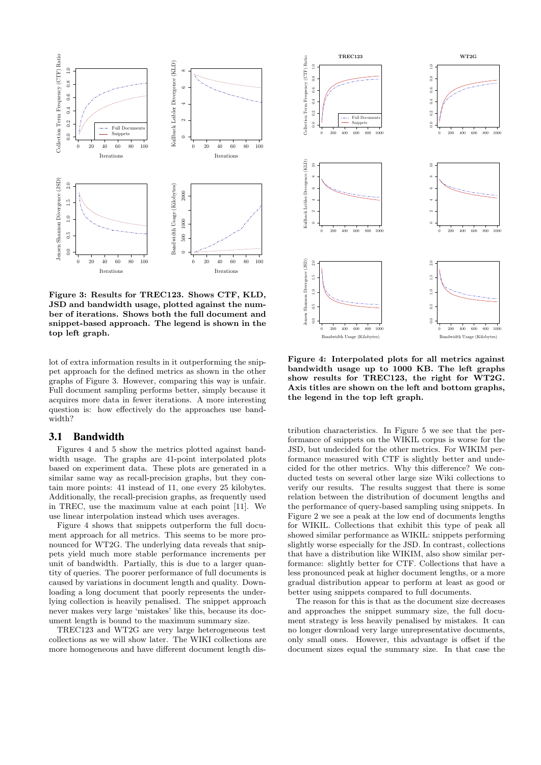

<span id="page-3-0"></span>Figure 3: Results for TREC123. Shows CTF, KLD, JSD and bandwidth usage, plotted against the number of iterations. Shows both the full document and snippet-based approach. The legend is shown in the top left graph.

lot of extra information results in it outperforming the snippet approach for the defined metrics as shown in the other graphs of Figure [3.](#page-3-0) However, comparing this way is unfair. Full document sampling performs better, simply because it acquires more data in fewer iterations. A more interesting question is: how effectively do the approaches use bandwidth?

#### 3.1 Bandwidth

Figures [4](#page-3-1) and [5](#page-4-1) show the metrics plotted against bandwidth usage. The graphs are 41-point interpolated plots based on experiment data. These plots are generated in a similar same way as recall-precision graphs, but they contain more points: 41 instead of 11, one every 25 kilobytes. Additionally, the recall-precision graphs, as frequently used in TREC, use the maximum value at each point [\[11\]](#page-5-18). We use linear interpolation instead which uses averages.

Figure [4](#page-3-1) shows that snippets outperform the full document approach for all metrics. This seems to be more pronounced for WT2G. The underlying data reveals that snippets yield much more stable performance increments per unit of bandwidth. Partially, this is due to a larger quantity of queries. The poorer performance of full documents is caused by variations in document length and quality. Downloading a long document that poorly represents the underlying collection is heavily penalised. The snippet approach never makes very large 'mistakes' like this, because its document length is bound to the maximum summary size.

TREC123 and WT2G are very large heterogeneous test collections as we will show later. The WIKI collections are more homogeneous and have different document length dis-



<span id="page-3-1"></span>Figure 4: Interpolated plots for all metrics against bandwidth usage up to 1000 KB. The left graphs show results for TREC123, the right for WT2G. Axis titles are shown on the left and bottom graphs, the legend in the top left graph.

tribution characteristics. In Figure [5](#page-4-1) we see that the performance of snippets on the WIKIL corpus is worse for the JSD, but undecided for the other metrics. For WIKIM performance measured with CTF is slightly better and undecided for the other metrics. Why this difference? We conducted tests on several other large size Wiki collections to verify our results. The results suggest that there is some relation between the distribution of document lengths and the performance of query-based sampling using snippets. In Figure [2](#page-2-2) we see a peak at the low end of documents lengths for WIKIL. Collections that exhibit this type of peak all showed similar performance as WIKIL: snippets performing slightly worse especially for the JSD. In contrast, collections that have a distribution like WIKIM, also show similar performance: slightly better for CTF. Collections that have a less pronounced peak at higher document lengths, or a more gradual distribution appear to perform at least as good or better using snippets compared to full documents.

The reason for this is that as the document size decreases and approaches the snippet summary size, the full document strategy is less heavily penalised by mistakes. It can no longer download very large unrepresentative documents, only small ones. However, this advantage is offset if the document sizes equal the summary size. In that case the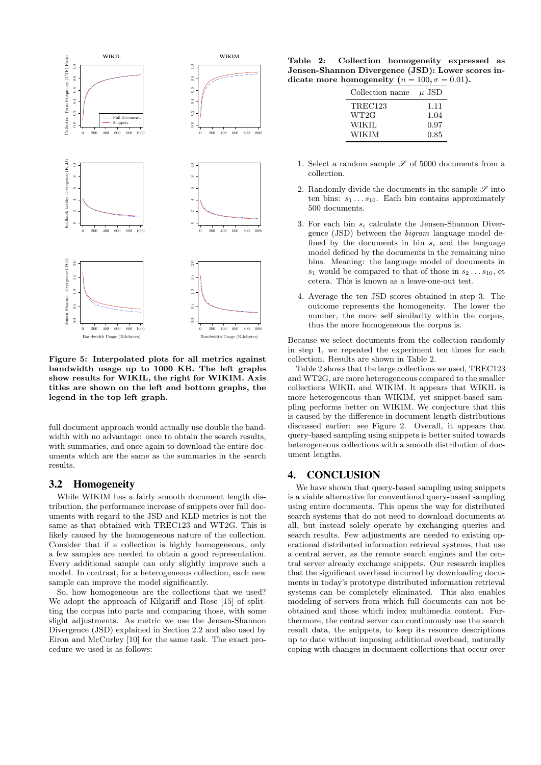

<span id="page-4-1"></span>Figure 5: Interpolated plots for all metrics against bandwidth usage up to 1000 KB. The left graphs show results for WIKIL, the right for WIKIM. Axis titles are shown on the left and bottom graphs, the legend in the top left graph.

full document approach would actually use double the bandwidth with no advantage: once to obtain the search results, with summaries, and once again to download the entire documents which are the same as the summaries in the search results.

# 3.2 Homogeneity

While WIKIM has a fairly smooth document length distribution, the performance increase of snippets over full documents with regard to the JSD and KLD metrics is not the same as that obtained with TREC123 and WT2G. This is likely caused by the homogeneous nature of the collection. Consider that if a collection is highly homogeneous, only a few samples are needed to obtain a good representation. Every additional sample can only slightly improve such a model. In contrast, for a heterogeneous collection, each new sample can improve the model significantly.

So, how homogeneous are the collections that we used? We adopt the approach of Kilgariff and Rose [\[15\]](#page-5-19) of splitting the corpus into parts and comparing those, with some slight adjustments. As metric we use the Jensen-Shannon Divergence (JSD) explained in Section [2.2](#page-2-1) and also used by Eiron and McCurley [\[10\]](#page-5-20) for the same task. The exact procedure we used is as follows:

Table 2: Collection homogeneity expressed as Jensen-Shannon Divergence (JSD): Lower scores indicate more homogeneity ( $n = 100, \sigma = 0.01$ ).

<span id="page-4-2"></span>

| Collection name | $\mu$ JSD |
|-----------------|-----------|
| <b>TREC123</b>  | 1.11      |
| WT2G            | 1.04      |
| <b>WIKIL</b>    | 0.97      |
| WIKIM           | 0.85      |

- 1. Select a random sample  $\mathcal S$  of 5000 documents from a collection.
- 2. Randomly divide the documents in the sample  $\mathscr S$  into ten bins:  $s_1 \ldots s_{10}$ . Each bin contains approximately 500 documents.
- 3. For each bin  $s_i$  calculate the Jensen-Shannon Divergence (JSD) between the bigram language model defined by the documents in bin  $s_i$  and the language model defined by the documents in the remaining nine bins. Meaning: the language model of documents in  $s_1$  would be compared to that of those in  $s_2 \ldots s_{10}$ , et cetera. This is known as a leave-one-out test.
- 4. Average the ten JSD scores obtained in step 3. The outcome represents the homogeneity. The lower the number, the more self similarity within the corpus, thus the more homogeneous the corpus is.

Because we select documents from the collection randomly in step 1, we repeated the experiment ten times for each collection. Results are shown in Table [2.](#page-4-2)

Table [2](#page-4-2) shows that the large collections we used, TREC123 and WT2G, are more heterogeneous compared to the smaller collections WIKIL and WIKIM. It appears that WIKIL is more heterogeneous than WIKIM, yet snippet-based sampling performs better on WIKIM. We conjecture that this is caused by the difference in document length distributions discussed earlier: see Figure [2.](#page-2-2) Overall, it appears that query-based sampling using snippets is better suited towards heterogeneous collections with a smooth distribution of document lengths.

# <span id="page-4-0"></span>4. CONCLUSION

We have shown that query-based sampling using snippets is a viable alternative for conventional query-based sampling using entire documents. This opens the way for distributed search systems that do not need to download documents at all, but instead solely operate by exchanging queries and search results. Few adjustments are needed to existing operational distributed information retrieval systems, that use a central server, as the remote search engines and the central server already exchange snippets. Our research implies that the significant overhead incurred by downloading documents in today's prototype distributed information retrieval systems can be completely eliminated. This also enables modeling of servers from which full documents can not be obtained and those which index multimedia content. Furthermore, the central server can continuously use the search result data, the snippets, to keep its resource descriptions up to date without imposing additional overhead, naturally coping with changes in document collections that occur over